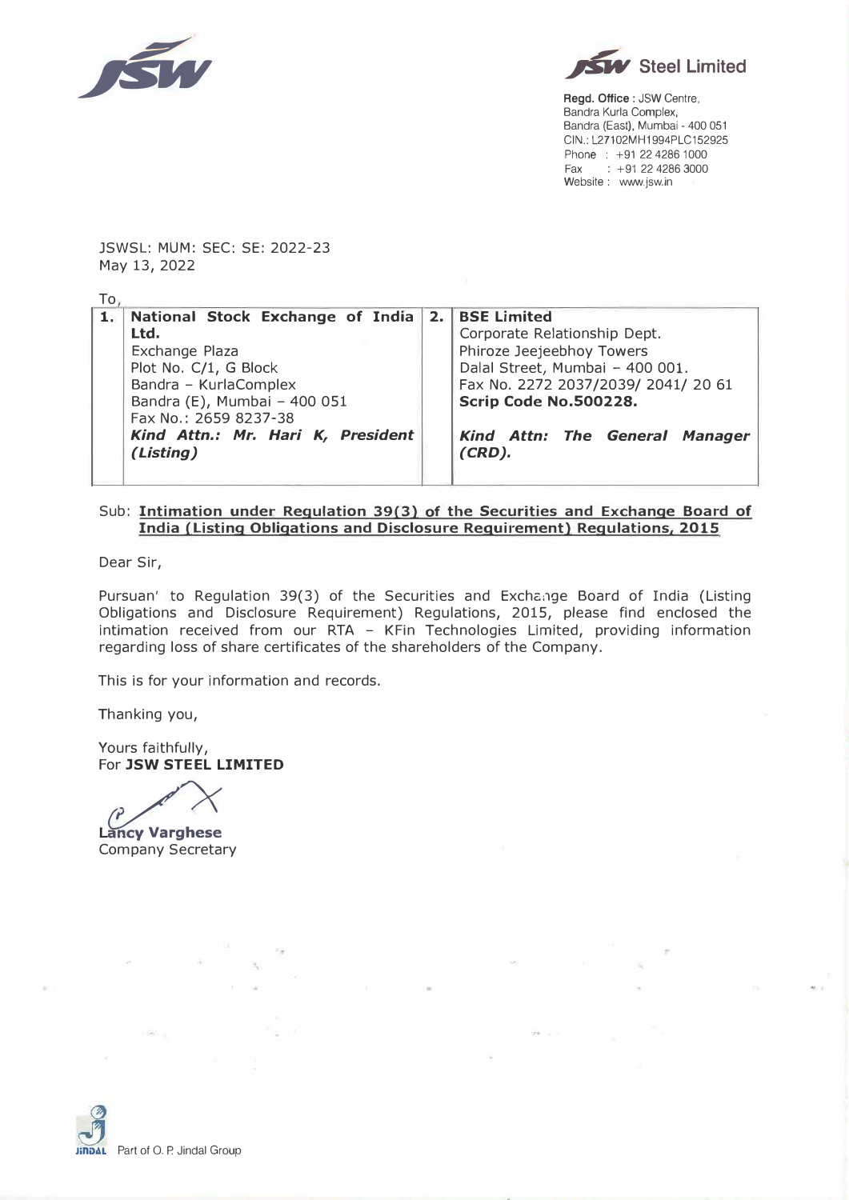



**Regd. Office:** JSW Centre, Sandra Kurla Complex, Bandra (East), Mumbai - 400 051 CIN.: L27102MH1994PLC152925 Phone : +91 22 4286 1000  $Fax$   $+91$  22 4286 3000 Website : www.jsw.in

JSWSL: MUM: SEC: SE: 2022-23 May 13, 2022

|  | 1. National Stock Exchange of India 2. BSE Limited |  |                                     |  |  |  |  |  |  |  |
|--|----------------------------------------------------|--|-------------------------------------|--|--|--|--|--|--|--|
|  | Ltd.                                               |  | Corporate Relationship Dept.        |  |  |  |  |  |  |  |
|  | Exchange Plaza                                     |  | Phiroze Jeejeebhoy Towers           |  |  |  |  |  |  |  |
|  | Plot No. C/1, G Block                              |  | Dalal Street, Mumbai - 400 001.     |  |  |  |  |  |  |  |
|  | Bandra - KurlaComplex                              |  | Fax No. 2272 2037/2039/ 2041/ 20 61 |  |  |  |  |  |  |  |
|  | Bandra (E), Mumbai - 400 051                       |  | Scrip Code No.500228.               |  |  |  |  |  |  |  |
|  | Fax No.: 2659 8237-38                              |  |                                     |  |  |  |  |  |  |  |
|  | Kind Attn.: Mr. Hari K, President                  |  | Kind Attn: The General Manager      |  |  |  |  |  |  |  |
|  | (Listing)                                          |  | $(CRD)$ .                           |  |  |  |  |  |  |  |
|  |                                                    |  |                                     |  |  |  |  |  |  |  |

## Sub: **Intimation under Regulation 39(3) of the Securities and Exchange Board of India (Listing Obligations and Disclosure Requirement) Regulations, 2015**

Dear Sir,

Pursuan' to Regulation 39(3) of the Securities and Exchange Board of India (Listing Obligations and Disclosure Requirement) Regulations, 2015, please find enclosed the intimation received from our RTA - KFin Technologies Limited, providing information regarding loss of share certificates of the shareholders of the Company.

This is for your information and records.

Thanking you,

Yours faithfully, For **JSW STEEL LIMITED** 

 $\overline{P}$ 

**Lancy Varghese** Company Secretary

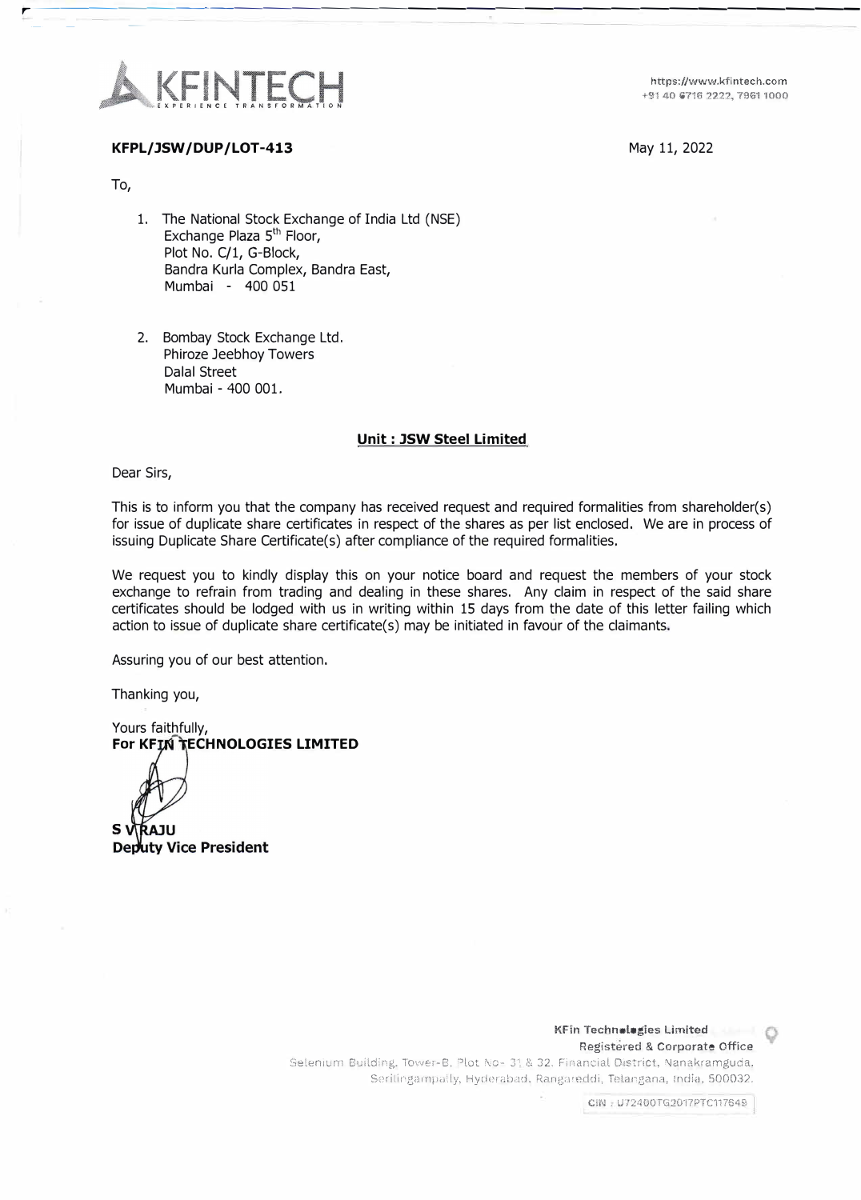

https://www.kfintech.com +91 40 6716 2222, 7961 1000

### May 11, 2022

## **KFPL/ JSW / DUP / LOT-413**

To,

- 1. The National Stock Exchange of India Ltd (NSE) Exchange Plaza 5<sup>th</sup> Floor, Plot No. C/1, G-Block, Bandra Kurla Complex, Bandra East, Mumbai - 400 051
- 2. Bombay Stock Exchange Ltd. Phiroze Jeebhoy Towers Dalal Street Mumbai - 400 001.

# **Unit : JSW Steel Limited**

**r��---=-------------------------**

Dear Sirs,

This is to inform you that the company has received request and required formalities from shareholder(s) for issue of duplicate share certificates in respect of the shares as per list enclosed. We are in process of issuing Duplicate Share Certificate(s) after compliance of the required formalities.

We request you to kindly display this on your notice board and request the members of your stock exchange to refrain from trading and dealing in these shares. Any claim in respect of the said share certificates should be lodged with us in writing within 15 days from the date of this letter failing which action to issue of duplicate share certificate(s) may be initiated in favour of the claimants.

Assuring you of our best attention.

Thanking you,

Yours faithfully, **For KFIN TECHNOLOGIES LIMITED** 

ŔAJU

**S V RAJU<br>Deputy Vice President** 

KFin Technologies Limited Registered & Corporate Office

Selenium Building. Tower-B, Plot No- 31 & 32, Financial District, Nanakramguda, Serilingampally, Hyderabad, Rangareddi, Telangana, India, 500032.

CIN : U72400TG2017PTC117649